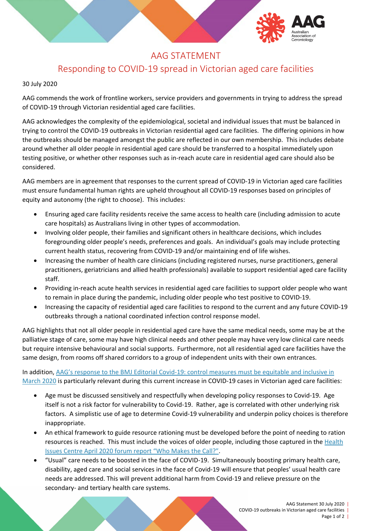

# AAG STATEMENT

# Responding to COVID-19 spread in Victorian aged care facilities

#### 30 July 2020

AAG commends the work of frontline workers, service providers and governments in trying to address the spread of COVID-19 through Victorian residential aged care facilities.

AAG acknowledges the complexity of the epidemiological, societal and individual issues that must be balanced in trying to control the COVID-19 outbreaks in Victorian residential aged care facilities. The differing opinions in how the outbreaks should be managed amongst the public are reflected in our own membership. This includes debate around whether all older people in residential aged care should be transferred to a hospital immediately upon testing positive, or whether other responses such as in-reach acute care in residential aged care should also be considered.

AAG members are in agreement that responses to the current spread of COVID-19 in Victorian aged care facilities must ensure fundamental human rights are upheld throughout all COVID-19 responses based on principles of equity and autonomy (the right to choose). This includes:

- Ensuring aged care facility residents receive the same access to health care (including admission to acute care hospitals) as Australians living in other types of accommodation.
- Involving older people, their families and significant others in healthcare decisions, which includes foregrounding older people's needs, preferences and goals. An individual's goals may include protecting current health status, recovering from COVID-19 and/or maintaining end of life wishes.
- Increasing the number of health care clinicians (including registered nurses, nurse practitioners, general practitioners, geriatricians and allied health professionals) available to support residential aged care facility staff.
- Providing in-reach acute health services in residential aged care facilities to support older people who want to remain in place during the pandemic, including older people who test positive to COVID-19.
- Increasing the capacity of residential aged care facilities to respond to the current and any future COVID-19 outbreaks through a national coordinated infection control response model.

AAG highlights that not all older people in residential aged care have the same medical needs, some may be at the palliative stage of care, some may have high clinical needs and other people may have very low clinical care needs but require intensive behavioural and social supports. Furthermore, not all residential aged care facilities have the same design, from rooms off shared corridors to a group of independent units with their own entrances.

In addition, [AAG's response to the BMJ Editorial Covid-19: control measures must be equitable and inclusive](https://www.aag.asn.au/news-publications/covid-19/aag-response-to-the-bmj-editorial-covid-19-control-measures-must-be-equitable-and-inclusive) in [March 2020](https://www.aag.asn.au/news-publications/covid-19/aag-response-to-the-bmj-editorial-covid-19-control-measures-must-be-equitable-and-inclusive) is particularly relevant during this current increase in COVID-19 cases in Victorian aged care facilities:

- Age must be discussed sensitively and respectfully when developing policy responses to Covid-19. Age itself is not a risk factor for vulnerability to Covid-19. Rather, age is correlated with other underlying risk factors. A simplistic use of age to determine Covid-19 vulnerability and underpin policy choices is therefore inappropriate.
- An ethical framework to guide resource rationing must be developed before the point of needing to ration resources is reached. This must include the voices of older people, including those captured in the [Health](https://www.aag.asn.au/news-publications/covid-19/aag-support-health-issues-centre-work-towards-covid-19-ethical-framework)  [Issues Centre April 2020 forum report "Who Makes the Call?".](https://www.aag.asn.au/news-publications/covid-19/aag-support-health-issues-centre-work-towards-covid-19-ethical-framework)
- "Usual" care needs to be boosted in the face of COVID-19. Simultaneously boosting primary health care, disability, aged care and social services in the face of Covid-19 will ensure that peoples' usual health care needs are addressed. This will prevent additional harm from Covid-19 and relieve pressure on the secondary- and tertiary health care systems.